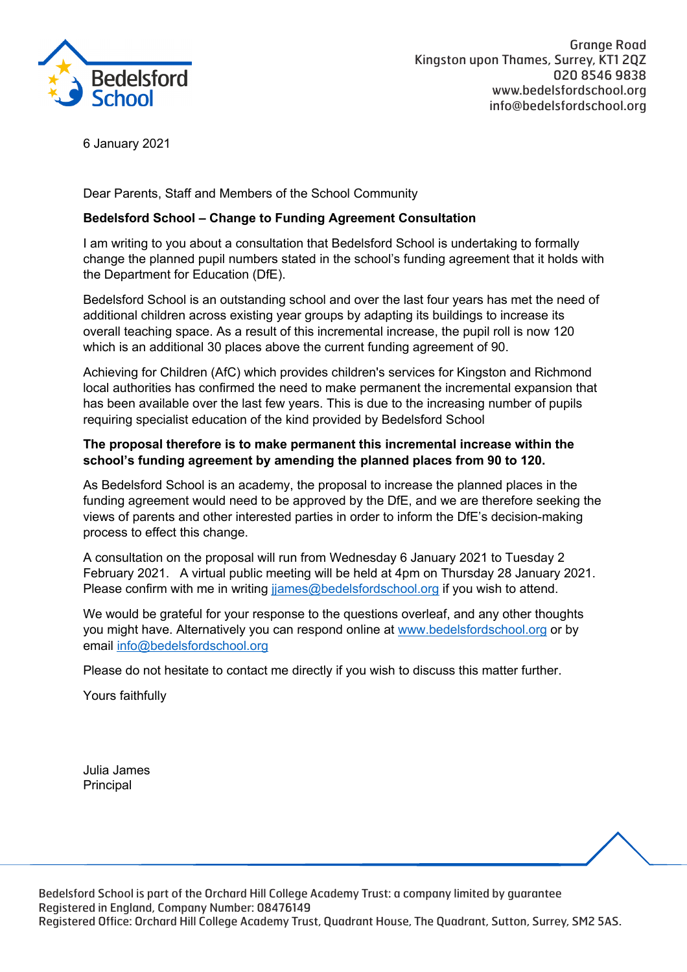

6 January 2021

Dear Parents, Staff and Members of the School Community

## **Bedelsford School – Change to Funding Agreement Consultation**

I am writing to you about a consultation that Bedelsford School is undertaking to formally change the planned pupil numbers stated in the school's funding agreement that it holds with the Department for Education (DfE).

Bedelsford School is an outstanding school and over the last four years has met the need of additional children across existing year groups by adapting its buildings to increase its overall teaching space. As a result of this incremental increase, the pupil roll is now 120 which is an additional 30 places above the current funding agreement of 90.

Achieving for Children (AfC) which provides children's services for Kingston and Richmond local authorities has confirmed the need to make permanent the incremental expansion that has been available over the last few years. This is due to the increasing number of pupils requiring specialist education of the kind provided by Bedelsford School

## **The proposal therefore is to make permanent this incremental increase within the school's funding agreement by amending the planned places from 90 to 120.**

As Bedelsford School is an academy, the proposal to increase the planned places in the funding agreement would need to be approved by the DfE, and we are therefore seeking the views of parents and other interested parties in order to inform the DfE's decision-making process to effect this change.

A consultation on the proposal will run from Wednesday 6 January 2021 to Tuesday 2 February 2021. A virtual public meeting will be held at 4pm on Thursday 28 January 2021. Please confirm with me in writing jjames@bedelsfordschool.org if you wish to attend.

We would be grateful for your response to the questions overleaf, and any other thoughts you might have. Alternatively you can respond online at www.bedelsfordschool.org or by email info@bedelsfordschool.org

Please do not hesitate to contact me directly if you wish to discuss this matter further.

Yours faithfully

Julia James Principal

Bedelsford School is part of the Orchard Hill College Academy Trust: a company limited by guarantee Bedelsford School is part of the Orchard Hill College Academy Trust: a company limited by guarantee Registered in England, Company Number: 08476149 Registered in England, Company Number: 08476149 Registered Office: Orchard Hill College Academy Trust, Quadrant House, The Quadrant, Sutton, Surrey, SM2 5AS. Registered Office: Orchard Hill College Academy Trust, Quadrant House, The Quadrant, Sutton, Surrey, SM2 5AS.